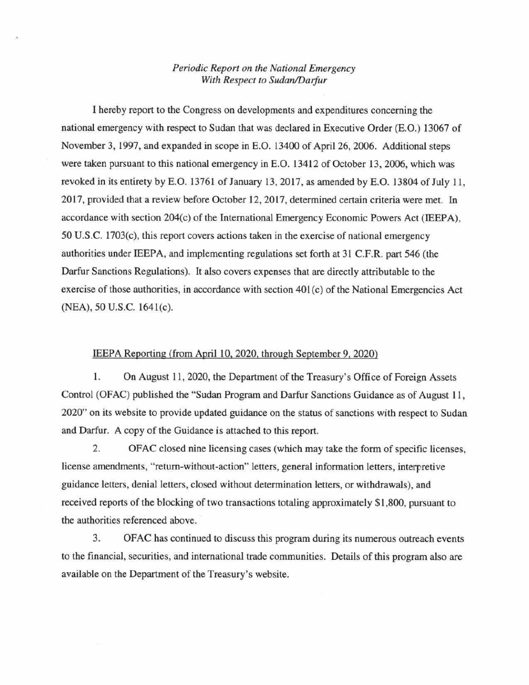## *Periodic Report on the National Emergency With Respect to Sudan/Darfur*

I hereby report to the Congress on developments and expenditures conceming the national emergency with respect to Sudan that was declared in Executive Order (E.O.) 13067 of November 3, 1997, and expanded in scope in E.O. 13400 of Apri126, 2006. Additional steps were taken pursuant to this national emergency in E.O. 13412 of October 13, 2006, which was revoked in its entirety by E.O. 13761 of January 13, 2017, as amended by E.O. 13804 of July 11, 2017, provided that a review before October 12, 2017, determined certain criteria were met. In accordance with section 204(c) of the International Emergency Economic Powers Act (IEEPA), 50 U.S.C. 1703(c), this report covers actions taken in the exercise of nationa1 emergency authorities under IEEPA, and implementing regulations set forth at 31 C.F.R. part 546 (the Darfur Sanctions Regulations). It also covers expenses that are directly attributable to the exercise of those authorities, in accordance with section 401 (c) of the National Emergencies Act (NEA), 50 U.S.C. 1641(c).

## IEEPA Reporting ({rom April 10,2020, through September 9,2020)

1. On August 11, 2020, the Department of the Treasury's Office of Foreign Assets Control (OFAC) published the "Sudan Program and Darfur Sanctions Guidance as of August 11, 2020" on its website to provide updated guidance on the status of sanctions with respect to Sudan and Darfur. A copy of the Guidance is attached to this report.

2. OFAC closed nine licensing cases (which may take the form of specific licenses, license amendments, "return-without-action" letters, general information letters, interpretive guidance letters, denial letters, closed without determination letters, or withdrawals), and received reports of the blocking of two transactions totaling approximately \$1,800, pursuant to the authorities referenced above.

3. OFAC has continued to discuss this program during its numerous outreach events to the financial, securities, and international trade communities. Details of this program also are available on the Department of the Treasury's website.